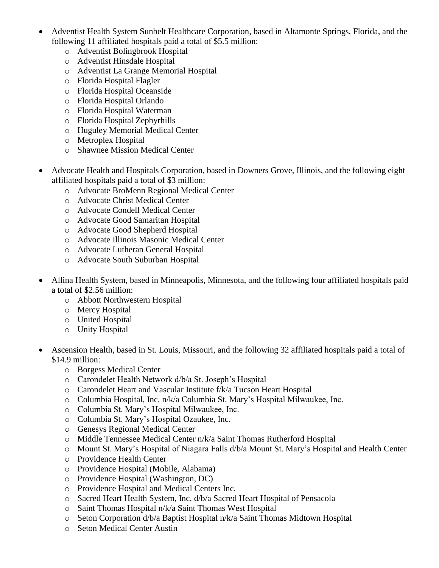- Adventist Health System Sunbelt Healthcare Corporation, based in Altamonte Springs, Florida, and the following 11 affiliated hospitals paid a total of \$5.5 million:
	- o Adventist Bolingbrook Hospital
	- o Adventist Hinsdale Hospital
	- o Adventist La Grange Memorial Hospital
	- o Florida Hospital Flagler
	- o Florida Hospital Oceanside
	- o Florida Hospital Orlando
	- o Florida Hospital Waterman
	- o Florida Hospital Zephyrhills
	- o Huguley Memorial Medical Center
	- o Metroplex Hospital
	- o Shawnee Mission Medical Center
- Advocate Health and Hospitals Corporation, based in Downers Grove, Illinois, and the following eight affiliated hospitals paid a total of \$3 million:
	- o Advocate BroMenn Regional Medical Center
	- o Advocate Christ Medical Center
	- o Advocate Condell Medical Center
	- o Advocate Good Samaritan Hospital
	- o Advocate Good Shepherd Hospital
	- o Advocate Illinois Masonic Medical Center
	- o Advocate Lutheran General Hospital
	- o Advocate South Suburban Hospital
- Allina Health System, based in Minneapolis, Minnesota, and the following four affiliated hospitals paid a total of \$2.56 million:
	- o Abbott Northwestern Hospital
	- o Mercy Hospital
	- o United Hospital
	- o Unity Hospital
- Ascension Health, based in St. Louis, Missouri, and the following 32 affiliated hospitals paid a total of \$14.9 million:
	- o Borgess Medical Center
	- o Carondelet Health Network d/b/a St. Joseph's Hospital
	- o Carondelet Heart and Vascular Institute f/k/a Tucson Heart Hospital
	- o Columbia Hospital, Inc. n/k/a Columbia St. Mary's Hospital Milwaukee, Inc.
	- o Columbia St. Mary's Hospital Milwaukee, Inc.
	- o Columbia St. Mary's Hospital Ozaukee, Inc.
	- o Genesys Regional Medical Center
	- o Middle Tennessee Medical Center n/k/a Saint Thomas Rutherford Hospital
	- o Mount St. Mary's Hospital of Niagara Falls d/b/a Mount St. Mary's Hospital and Health Center
	- o Providence Health Center
	- o Providence Hospital (Mobile, Alabama)
	- o Providence Hospital (Washington, DC)
	- o Providence Hospital and Medical Centers Inc.
	- o Sacred Heart Health System, Inc. d/b/a Sacred Heart Hospital of Pensacola
	- o Saint Thomas Hospital n/k/a Saint Thomas West Hospital
	- o Seton Corporation d/b/a Baptist Hospital n/k/a Saint Thomas Midtown Hospital
	- o Seton Medical Center Austin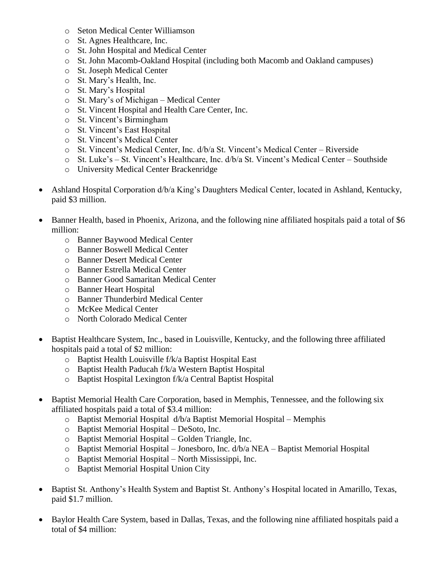- o Seton Medical Center Williamson
- o St. Agnes Healthcare, Inc.
- o St. John Hospital and Medical Center
- o St. John Macomb-Oakland Hospital (including both Macomb and Oakland campuses)
- o St. Joseph Medical Center
- o St. Mary's Health, Inc.
- o St. Mary's Hospital
- o St. Mary's of Michigan Medical Center
- o St. Vincent Hospital and Health Care Center, Inc.
- o St. Vincent's Birmingham
- o St. Vincent's East Hospital
- o St. Vincent's Medical Center
- o St. Vincent's Medical Center, Inc. d/b/a St. Vincent's Medical Center Riverside
- o St. Luke's St. Vincent's Healthcare, Inc. d/b/a St. Vincent's Medical Center Southside
- o University Medical Center Brackenridge
- Ashland Hospital Corporation d/b/a King's Daughters Medical Center, located in Ashland, Kentucky, paid \$3 million.
- Banner Health, based in Phoenix, Arizona, and the following nine affiliated hospitals paid a total of \$6 million:
	- o Banner Baywood Medical Center
	- o Banner Boswell Medical Center
	- o Banner Desert Medical Center
	- o Banner Estrella Medical Center
	- o Banner Good Samaritan Medical Center
	- o Banner Heart Hospital
	- o Banner Thunderbird Medical Center
	- o McKee Medical Center
	- o North Colorado Medical Center
- Baptist Healthcare System, Inc., based in Louisville, Kentucky, and the following three affiliated hospitals paid a total of \$2 million:
	- o Baptist Health Louisville f/k/a Baptist Hospital East
	- o Baptist Health Paducah f/k/a Western Baptist Hospital
	- o Baptist Hospital Lexington f/k/a Central Baptist Hospital
- Baptist Memorial Health Care Corporation, based in Memphis, Tennessee, and the following six affiliated hospitals paid a total of \$3.4 million:
	- o Baptist Memorial Hospital d/b/a Baptist Memorial Hospital Memphis
	- o Baptist Memorial Hospital DeSoto, Inc.
	- o Baptist Memorial Hospital Golden Triangle, Inc.
	- o Baptist Memorial Hospital Jonesboro, Inc. d/b/a NEA Baptist Memorial Hospital
	- o Baptist Memorial Hospital North Mississippi, Inc.
	- o Baptist Memorial Hospital Union City
- Baptist St. Anthony's Health System and Baptist St. Anthony's Hospital located in Amarillo, Texas, paid \$1.7 million.
- Baylor Health Care System, based in Dallas, Texas, and the following nine affiliated hospitals paid a total of \$4 million: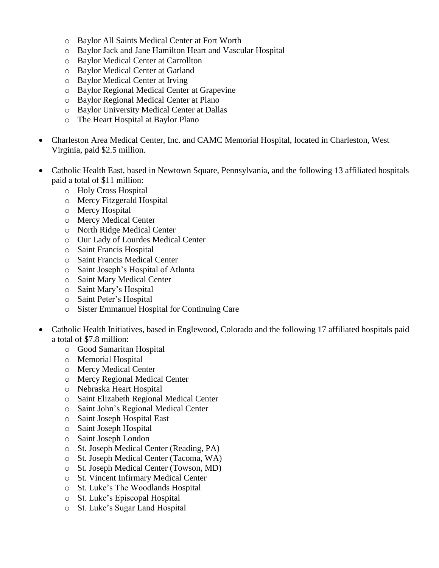- o Baylor All Saints Medical Center at Fort Worth
- o Baylor Jack and Jane Hamilton Heart and Vascular Hospital
- o Baylor Medical Center at Carrollton
- o Baylor Medical Center at Garland
- o Baylor Medical Center at Irving
- o Baylor Regional Medical Center at Grapevine
- o Baylor Regional Medical Center at Plano
- o Baylor University Medical Center at Dallas
- o The Heart Hospital at Baylor Plano
- Charleston Area Medical Center, Inc. and CAMC Memorial Hospital, located in Charleston, West Virginia, paid \$2.5 million.
- Catholic Health East, based in Newtown Square, Pennsylvania, and the following 13 affiliated hospitals paid a total of \$11 million:
	- o Holy Cross Hospital
	- o Mercy Fitzgerald Hospital
	- o Mercy Hospital
	- o Mercy Medical Center
	- o North Ridge Medical Center
	- o Our Lady of Lourdes Medical Center
	- o Saint Francis Hospital
	- o Saint Francis Medical Center
	- o Saint Joseph's Hospital of Atlanta
	- o Saint Mary Medical Center
	- o Saint Mary's Hospital
	- o Saint Peter's Hospital
	- o Sister Emmanuel Hospital for Continuing Care
- Catholic Health Initiatives, based in Englewood, Colorado and the following 17 affiliated hospitals paid a total of \$7.8 million:
	- o Good Samaritan Hospital
	- o Memorial Hospital
	- o Mercy Medical Center
	- o Mercy Regional Medical Center
	- o Nebraska Heart Hospital
	- o Saint Elizabeth Regional Medical Center
	- o Saint John's Regional Medical Center
	- o Saint Joseph Hospital East
	- o Saint Joseph Hospital
	- o Saint Joseph London
	- o St. Joseph Medical Center (Reading, PA)
	- o St. Joseph Medical Center (Tacoma, WA)
	- o St. Joseph Medical Center (Towson, MD)
	- o St. Vincent Infirmary Medical Center
	- o St. Luke's The Woodlands Hospital
	- o St. Luke's Episcopal Hospital
	- o St. Luke's Sugar Land Hospital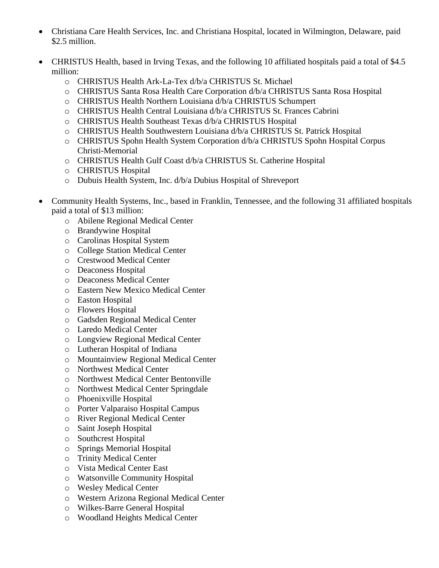- Christiana Care Health Services, Inc. and Christiana Hospital, located in Wilmington, Delaware, paid \$2.5 million.
- CHRISTUS Health, based in Irving Texas, and the following 10 affiliated hospitals paid a total of \$4.5 million:
	- o CHRISTUS Health Ark-La-Tex d/b/a CHRISTUS St. Michael
	- o CHRISTUS Santa Rosa Health Care Corporation d/b/a CHRISTUS Santa Rosa Hospital
	- o CHRISTUS Health Northern Louisiana d/b/a CHRISTUS Schumpert
	- o CHRISTUS Health Central Louisiana d/b/a CHRISTUS St. Frances Cabrini
	- o CHRISTUS Health Southeast Texas d/b/a CHRISTUS Hospital
	- o CHRISTUS Health Southwestern Louisiana d/b/a CHRISTUS St. Patrick Hospital
	- o CHRISTUS Spohn Health System Corporation d/b/a CHRISTUS Spohn Hospital Corpus Christi-Memorial
	- o CHRISTUS Health Gulf Coast d/b/a CHRISTUS St. Catherine Hospital
	- o CHRISTUS Hospital
	- o Dubuis Health System, Inc. d/b/a Dubius Hospital of Shreveport
- Community Health Systems, Inc., based in Franklin, Tennessee, and the following 31 affiliated hospitals paid a total of \$13 million:
	- o Abilene Regional Medical Center
	- o Brandywine Hospital
	- o Carolinas Hospital System
	- o College Station Medical Center
	- o Crestwood Medical Center
	- o Deaconess Hospital
	- o Deaconess Medical Center
	- o Eastern New Mexico Medical Center
	- o Easton Hospital
	- o Flowers Hospital
	- o Gadsden Regional Medical Center
	- o Laredo Medical Center
	- o Longview Regional Medical Center
	- o Lutheran Hospital of Indiana
	- o Mountainview Regional Medical Center
	- o Northwest Medical Center
	- o Northwest Medical Center Bentonville
	- o Northwest Medical Center Springdale
	- o Phoenixville Hospital
	- o Porter Valparaiso Hospital Campus
	- o River Regional Medical Center
	- o Saint Joseph Hospital
	- o Southcrest Hospital
	- o Springs Memorial Hospital
	- o Trinity Medical Center
	- o Vista Medical Center East
	- o Watsonville Community Hospital
	- o Wesley Medical Center
	- o Western Arizona Regional Medical Center
	- o Wilkes-Barre General Hospital
	- o Woodland Heights Medical Center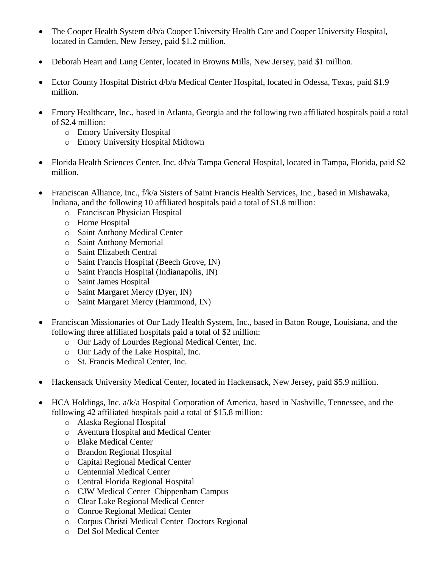- The Cooper Health System d/b/a Cooper University Health Care and Cooper University Hospital, located in Camden, New Jersey, paid \$1.2 million.
- Deborah Heart and Lung Center, located in Browns Mills, New Jersey, paid \$1 million.
- Ector County Hospital District d/b/a Medical Center Hospital, located in Odessa, Texas, paid \$1.9 million.
- Emory Healthcare, Inc., based in Atlanta, Georgia and the following two affiliated hospitals paid a total of \$2.4 million:
	- o Emory University Hospital
	- o Emory University Hospital Midtown
- Florida Health Sciences Center, Inc. d/b/a Tampa General Hospital, located in Tampa, Florida, paid \$2 million.
- Franciscan Alliance, Inc., f/k/a Sisters of Saint Francis Health Services, Inc., based in Mishawaka, Indiana, and the following 10 affiliated hospitals paid a total of \$1.8 million:
	- o Franciscan Physician Hospital
	- o Home Hospital
	- o Saint Anthony Medical Center
	- o Saint Anthony Memorial
	- o Saint Elizabeth Central
	- o Saint Francis Hospital (Beech Grove, IN)
	- o Saint Francis Hospital (Indianapolis, IN)
	- o Saint James Hospital
	- o Saint Margaret Mercy (Dyer, IN)
	- o Saint Margaret Mercy (Hammond, IN)
- Franciscan Missionaries of Our Lady Health System, Inc., based in Baton Rouge, Louisiana, and the following three affiliated hospitals paid a total of \$2 million:
	- o Our Lady of Lourdes Regional Medical Center, Inc.
	- o Our Lady of the Lake Hospital, Inc.
	- o St. Francis Medical Center, Inc.
- Hackensack University Medical Center, located in Hackensack, New Jersey, paid \$5.9 million.
- HCA Holdings, Inc. a/k/a Hospital Corporation of America, based in Nashville, Tennessee, and the following 42 affiliated hospitals paid a total of \$15.8 million:
	- o Alaska Regional Hospital
	- o Aventura Hospital and Medical Center
	- o Blake Medical Center
	- o Brandon Regional Hospital
	- o Capital Regional Medical Center
	- o Centennial Medical Center
	- o Central Florida Regional Hospital
	- o CJW Medical Center–Chippenham Campus
	- o Clear Lake Regional Medical Center
	- o Conroe Regional Medical Center
	- o Corpus Christi Medical Center–Doctors Regional
	- o Del Sol Medical Center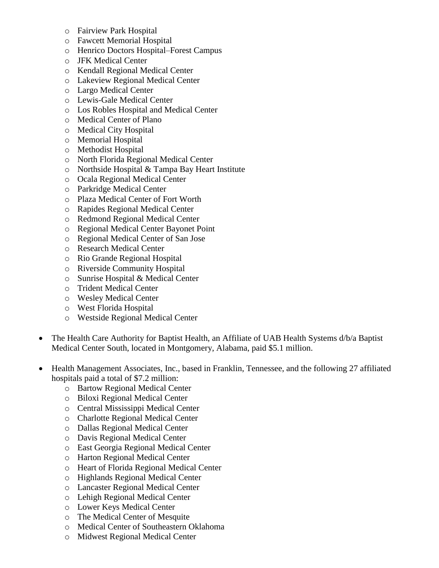- o Fairview Park Hospital
- o Fawcett Memorial Hospital
- o Henrico Doctors Hospital–Forest Campus
- o JFK Medical Center
- o Kendall Regional Medical Center
- o Lakeview Regional Medical Center
- o Largo Medical Center
- o Lewis-Gale Medical Center
- o Los Robles Hospital and Medical Center
- o Medical Center of Plano
- o Medical City Hospital
- o Memorial Hospital
- o Methodist Hospital
- o North Florida Regional Medical Center
- o Northside Hospital & Tampa Bay Heart Institute
- o Ocala Regional Medical Center
- o Parkridge Medical Center
- o Plaza Medical Center of Fort Worth
- o Rapides Regional Medical Center
- o Redmond Regional Medical Center
- o Regional Medical Center Bayonet Point
- o Regional Medical Center of San Jose
- o Research Medical Center
- o Rio Grande Regional Hospital
- o Riverside Community Hospital
- o Sunrise Hospital & Medical Center
- o Trident Medical Center
- o Wesley Medical Center
- o West Florida Hospital
- o Westside Regional Medical Center
- The Health Care Authority for Baptist Health, an Affiliate of UAB Health Systems d/b/a Baptist Medical Center South, located in Montgomery, Alabama, paid \$5.1 million.
- Health Management Associates, Inc., based in Franklin, Tennessee, and the following 27 affiliated hospitals paid a total of \$7.2 million:
	- o Bartow Regional Medical Center
	- o Biloxi Regional Medical Center
	- o Central Mississippi Medical Center
	- o Charlotte Regional Medical Center
	- o Dallas Regional Medical Center
	- o Davis Regional Medical Center
	- o East Georgia Regional Medical Center
	- o Harton Regional Medical Center
	- o Heart of Florida Regional Medical Center
	- o Highlands Regional Medical Center
	- o Lancaster Regional Medical Center
	- o Lehigh Regional Medical Center
	- o Lower Keys Medical Center
	- o The Medical Center of Mesquite
	- o Medical Center of Southeastern Oklahoma
	- o Midwest Regional Medical Center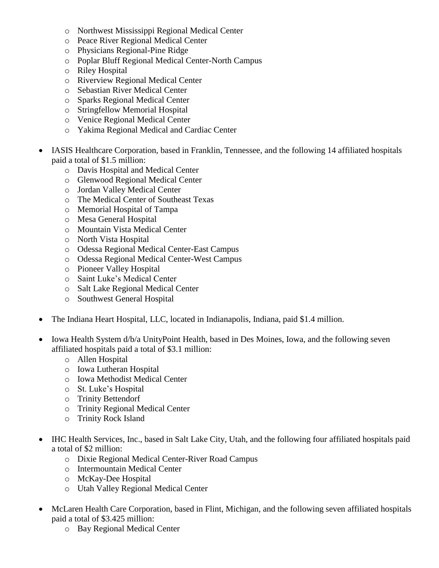- o Northwest Mississippi Regional Medical Center
- o Peace River Regional Medical Center
- o Physicians Regional-Pine Ridge
- o Poplar Bluff Regional Medical Center-North Campus
- o Riley Hospital
- o Riverview Regional Medical Center
- o Sebastian River Medical Center
- o Sparks Regional Medical Center
- o Stringfellow Memorial Hospital
- o Venice Regional Medical Center
- o Yakima Regional Medical and Cardiac Center
- IASIS Healthcare Corporation, based in Franklin, Tennessee, and the following 14 affiliated hospitals paid a total of \$1.5 million:
	- o Davis Hospital and Medical Center
	- o Glenwood Regional Medical Center
	- o Jordan Valley Medical Center
	- o The Medical Center of Southeast Texas
	- o Memorial Hospital of Tampa
	- o Mesa General Hospital
	- o Mountain Vista Medical Center
	- o North Vista Hospital
	- o Odessa Regional Medical Center-East Campus
	- o Odessa Regional Medical Center-West Campus
	- o Pioneer Valley Hospital
	- o Saint Luke's Medical Center
	- o Salt Lake Regional Medical Center
	- o Southwest General Hospital
- The Indiana Heart Hospital, LLC, located in Indianapolis, Indiana, paid \$1.4 million.
- Iowa Health System d/b/a UnityPoint Health, based in Des Moines, Iowa, and the following seven affiliated hospitals paid a total of \$3.1 million:
	- o Allen Hospital
	- o Iowa Lutheran Hospital
	- o Iowa Methodist Medical Center
	- o St. Luke's Hospital
	- o Trinity Bettendorf
	- o Trinity Regional Medical Center
	- o Trinity Rock Island
- IHC Health Services, Inc., based in Salt Lake City, Utah, and the following four affiliated hospitals paid a total of \$2 million:
	- o Dixie Regional Medical Center-River Road Campus
	- o Intermountain Medical Center
	- o McKay-Dee Hospital
	- o Utah Valley Regional Medical Center
- McLaren Health Care Corporation, based in Flint, Michigan, and the following seven affiliated hospitals paid a total of \$3.425 million:
	- o Bay Regional Medical Center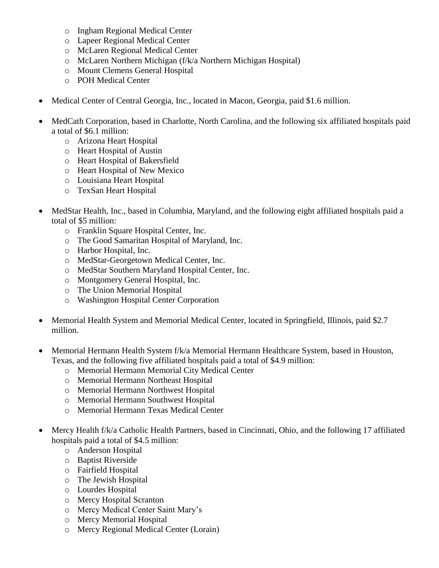- o Ingham Regional Medical Center
- o Lapeer Regional Medical Center
- o McLaren Regional Medical Center
- o McLaren Northern Michigan (f/k/a Northern Michigan Hospital)
- o Mount Clemens General Hospital
- o POH Medical Center
- Medical Center of Central Georgia, Inc., located in Macon, Georgia, paid \$1.6 million.
- MedCath Corporation, based in Charlotte, North Carolina, and the following six affiliated hospitals paid a total of \$6.1 million:
	- o Arizona Heart Hospital
	- o Heart Hospital of Austin
	- o Heart Hospital of Bakersfield
	- o Heart Hospital of New Mexico
	- o Louisiana Heart Hospital
	- o TexSan Heart Hospital
- MedStar Health, Inc., based in Columbia, Maryland, and the following eight affiliated hospitals paid a total of \$5 million:
	- o Franklin Square Hospital Center, Inc.
	- o The Good Samaritan Hospital of Maryland, Inc.
	- o Harbor Hospital, Inc.
	- o MedStar-Georgetown Medical Center, Inc.
	- o MedStar Southern Maryland Hospital Center, Inc.
	- o Montgomery General Hospital, Inc.
	- o The Union Memorial Hospital
	- o Washington Hospital Center Corporation
- Memorial Health System and Memorial Medical Center, located in Springfield, Illinois, paid \$2.7 million.
- Memorial Hermann Health System f/k/a Memorial Hermann Healthcare System, based in Houston, Texas, and the following five affiliated hospitals paid a total of \$4.9 million:
	- o Memorial Hermann Memorial City Medical Center
	- o Memorial Hermann Northeast Hospital
	- o Memorial Hermann Northwest Hospital
	- o Memorial Hermann Southwest Hospital
	- o Memorial Hermann Texas Medical Center
- Mercy Health f/k/a Catholic Health Partners, based in Cincinnati, Ohio, and the following 17 affiliated hospitals paid a total of \$4.5 million:
	- o Anderson Hospital
	- o Baptist Riverside
	- o Fairfield Hospital
	- o The Jewish Hospital
	- o Lourdes Hospital
	- o Mercy Hospital Scranton
	- o Mercy Medical Center Saint Mary's
	- o Mercy Memorial Hospital
	- o Mercy Regional Medical Center (Lorain)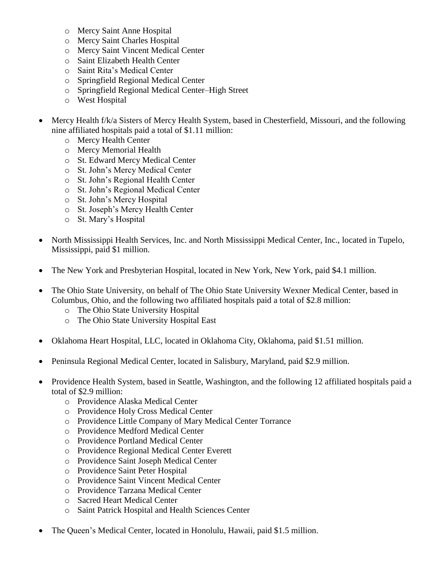- o Mercy Saint Anne Hospital
- o Mercy Saint Charles Hospital
- o Mercy Saint Vincent Medical Center
- o Saint Elizabeth Health Center
- o Saint Rita's Medical Center
- o Springfield Regional Medical Center
- o Springfield Regional Medical Center–High Street
- o West Hospital
- Mercy Health f/k/a Sisters of Mercy Health System, based in Chesterfield, Missouri, and the following nine affiliated hospitals paid a total of \$1.11 million:
	- o Mercy Health Center
	- o Mercy Memorial Health
	- o St. Edward Mercy Medical Center
	- o St. John's Mercy Medical Center
	- o St. John's Regional Health Center
	- o St. John's Regional Medical Center
	- o St. John's Mercy Hospital
	- o St. Joseph's Mercy Health Center
	- o St. Mary's Hospital
- North Mississippi Health Services, Inc. and North Mississippi Medical Center, Inc., located in Tupelo, Mississippi, paid \$1 million.
- The New York and Presbyterian Hospital, located in New York, New York, paid \$4.1 million.
- The Ohio State University, on behalf of The Ohio State University Wexner Medical Center, based in Columbus, Ohio, and the following two affiliated hospitals paid a total of \$2.8 million:
	- o The Ohio State University Hospital
	- o The Ohio State University Hospital East
- Oklahoma Heart Hospital, LLC, located in Oklahoma City, Oklahoma, paid \$1.51 million.
- Peninsula Regional Medical Center, located in Salisbury, Maryland, paid \$2.9 million.
- Providence Health System, based in Seattle, Washington, and the following 12 affiliated hospitals paid a total of \$2.9 million:
	- o Providence Alaska Medical Center
	- o Providence Holy Cross Medical Center
	- o Providence Little Company of Mary Medical Center Torrance
	- o Providence Medford Medical Center
	- o Providence Portland Medical Center
	- o Providence Regional Medical Center Everett
	- o Providence Saint Joseph Medical Center
	- o Providence Saint Peter Hospital
	- o Providence Saint Vincent Medical Center
	- o Providence Tarzana Medical Center
	- o Sacred Heart Medical Center
	- o Saint Patrick Hospital and Health Sciences Center
- The Queen's Medical Center, located in Honolulu, Hawaii, paid \$1.5 million.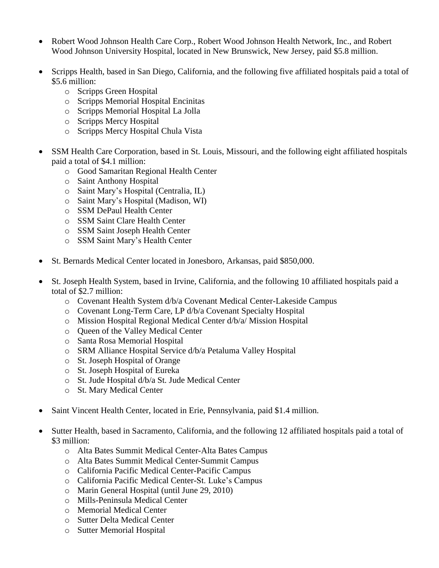- Robert Wood Johnson Health Care Corp., Robert Wood Johnson Health Network, Inc., and Robert Wood Johnson University Hospital, located in New Brunswick, New Jersey, paid \$5.8 million.
- Scripps Health, based in San Diego, California, and the following five affiliated hospitals paid a total of \$5.6 million:
	- o Scripps Green Hospital
	- o Scripps Memorial Hospital Encinitas
	- o Scripps Memorial Hospital La Jolla
	- o Scripps Mercy Hospital
	- o Scripps Mercy Hospital Chula Vista
- SSM Health Care Corporation, based in St. Louis, Missouri, and the following eight affiliated hospitals paid a total of \$4.1 million:
	- o Good Samaritan Regional Health Center
	- o Saint Anthony Hospital
	- o Saint Mary's Hospital (Centralia, IL)
	- o Saint Mary's Hospital (Madison, WI)
	- o SSM DePaul Health Center
	- o SSM Saint Clare Health Center
	- o SSM Saint Joseph Health Center
	- o SSM Saint Mary's Health Center
- St. Bernards Medical Center located in Jonesboro, Arkansas, paid \$850,000.
- St. Joseph Health System, based in Irvine, California, and the following 10 affiliated hospitals paid a total of \$2.7 million:
	- o Covenant Health System d/b/a Covenant Medical Center-Lakeside Campus
	- o Covenant Long-Term Care, LP d/b/a Covenant Specialty Hospital
	- o Mission Hospital Regional Medical Center d/b/a/ Mission Hospital
	- o Queen of the Valley Medical Center
	- o Santa Rosa Memorial Hospital
	- o SRM Alliance Hospital Service d/b/a Petaluma Valley Hospital
	- o St. Joseph Hospital of Orange
	- o St. Joseph Hospital of Eureka
	- o St. Jude Hospital d/b/a St. Jude Medical Center
	- o St. Mary Medical Center
- Saint Vincent Health Center, located in Erie, Pennsylvania, paid \$1.4 million.
- Sutter Health, based in Sacramento, California, and the following 12 affiliated hospitals paid a total of \$3 million:
	- o Alta Bates Summit Medical Center-Alta Bates Campus
	- o Alta Bates Summit Medical Center-Summit Campus
	- o California Pacific Medical Center-Pacific Campus
	- o California Pacific Medical Center-St. Luke's Campus
	- o Marin General Hospital (until June 29, 2010)
	- o Mills-Peninsula Medical Center
	- o Memorial Medical Center
	- o Sutter Delta Medical Center
	- o Sutter Memorial Hospital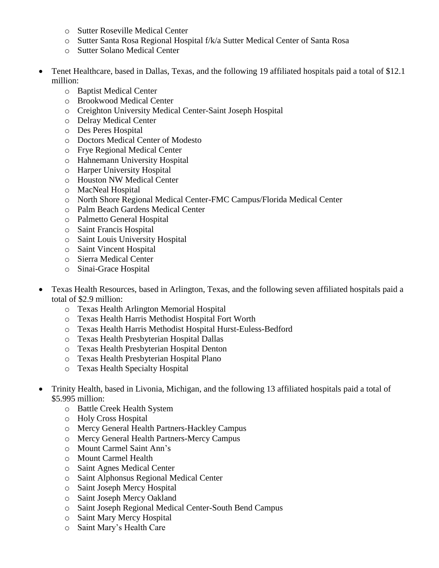- o Sutter Roseville Medical Center
- o Sutter Santa Rosa Regional Hospital f/k/a Sutter Medical Center of Santa Rosa
- o Sutter Solano Medical Center
- Tenet Healthcare, based in Dallas, Texas, and the following 19 affiliated hospitals paid a total of \$12.1 million:
	- o Baptist Medical Center
	- o Brookwood Medical Center
	- o Creighton University Medical Center-Saint Joseph Hospital
	- o Delray Medical Center
	- o Des Peres Hospital
	- o Doctors Medical Center of Modesto
	- o Frye Regional Medical Center
	- o Hahnemann University Hospital
	- o Harper University Hospital
	- o Houston NW Medical Center
	- o MacNeal Hospital
	- o North Shore Regional Medical Center-FMC Campus/Florida Medical Center
	- o Palm Beach Gardens Medical Center
	- o Palmetto General Hospital
	- o Saint Francis Hospital
	- o Saint Louis University Hospital
	- o Saint Vincent Hospital
	- o Sierra Medical Center
	- o Sinai-Grace Hospital
- Texas Health Resources, based in Arlington, Texas, and the following seven affiliated hospitals paid a total of \$2.9 million:
	- o Texas Health Arlington Memorial Hospital
	- o Texas Health Harris Methodist Hospital Fort Worth
	- o Texas Health Harris Methodist Hospital Hurst-Euless-Bedford
	- o Texas Health Presbyterian Hospital Dallas
	- o Texas Health Presbyterian Hospital Denton
	- o Texas Health Presbyterian Hospital Plano
	- o Texas Health Specialty Hospital
- Trinity Health, based in Livonia, Michigan, and the following 13 affiliated hospitals paid a total of \$5.995 million:
	- o Battle Creek Health System
	- o Holy Cross Hospital
	- o Mercy General Health Partners-Hackley Campus
	- o Mercy General Health Partners-Mercy Campus
	- o Mount Carmel Saint Ann's
	- o Mount Carmel Health
	- o Saint Agnes Medical Center
	- o Saint Alphonsus Regional Medical Center
	- o Saint Joseph Mercy Hospital
	- o Saint Joseph Mercy Oakland
	- o Saint Joseph Regional Medical Center-South Bend Campus
	- o Saint Mary Mercy Hospital
	- o Saint Mary's Health Care